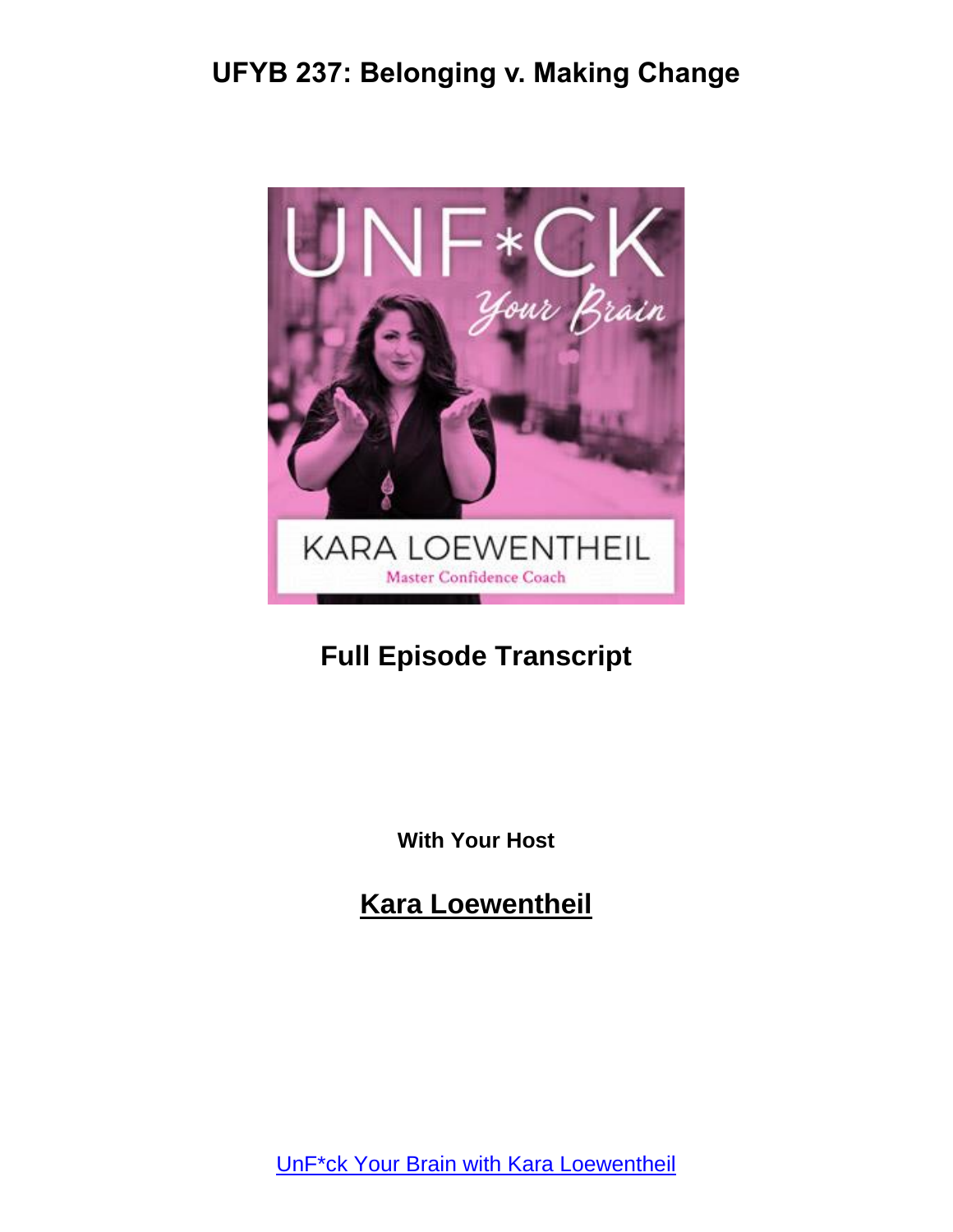

## **Full Episode Transcript**

**With Your Host**

**Kara Loewentheil**

UnF\*ck Your Brain with Kara [Loewentheil](https://unfuckyourbrain.com/podcast/)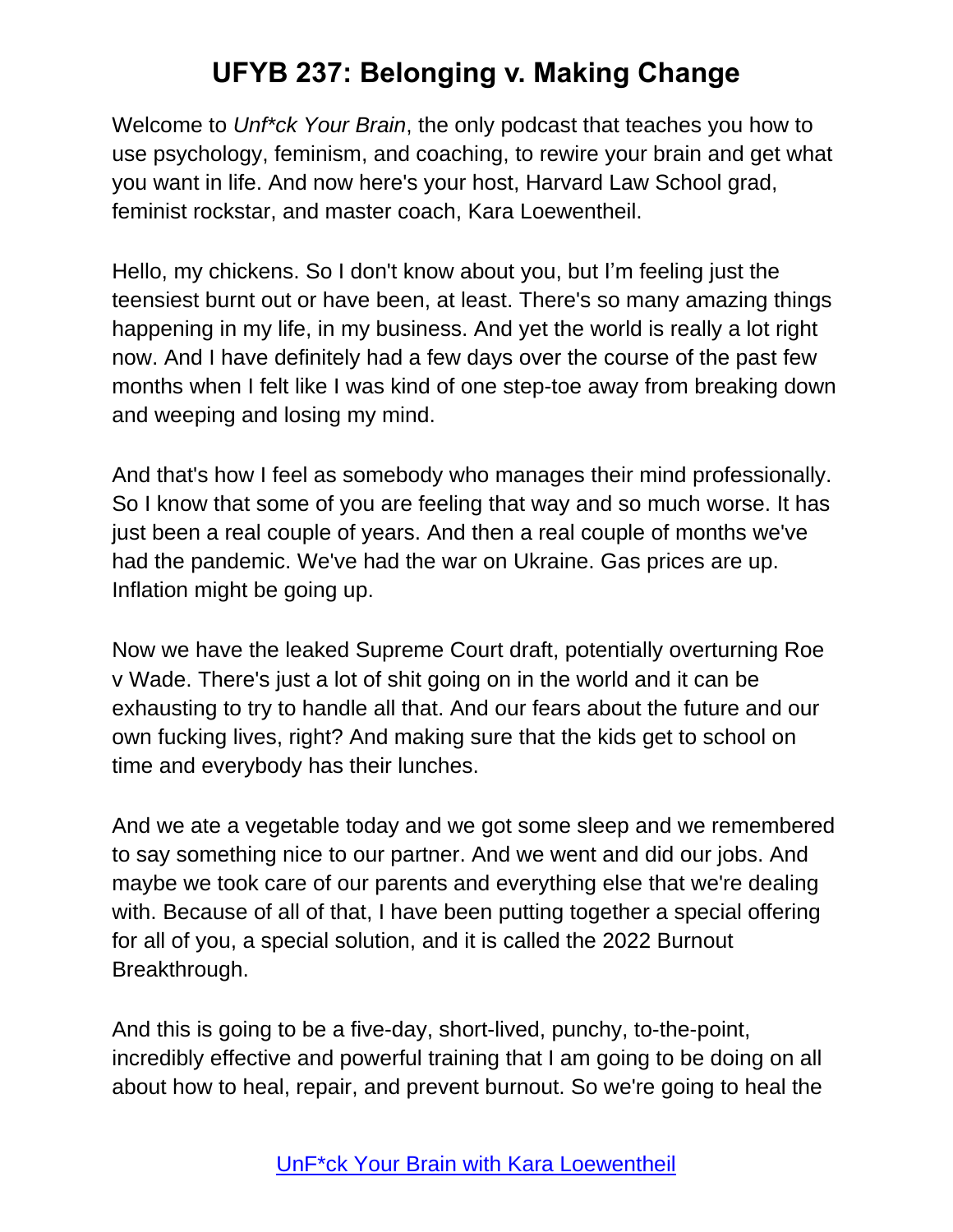Welcome to *Unf\*ck Your Brain*, the only podcast that teaches you how to use psychology, feminism, and coaching, to rewire your brain and get what you want in life. And now here's your host, Harvard Law School grad, feminist rockstar, and master coach, Kara Loewentheil.

Hello, my chickens. So I don't know about you, but I'm feeling just the teensiest burnt out or have been, at least. There's so many amazing things happening in my life, in my business. And yet the world is really a lot right now. And I have definitely had a few days over the course of the past few months when I felt like I was kind of one step-toe away from breaking down and weeping and losing my mind.

And that's how I feel as somebody who manages their mind professionally. So I know that some of you are feeling that way and so much worse. It has just been a real couple of years. And then a real couple of months we've had the pandemic. We've had the war on Ukraine. Gas prices are up. Inflation might be going up.

Now we have the leaked Supreme Court draft, potentially overturning Roe v Wade. There's just a lot of shit going on in the world and it can be exhausting to try to handle all that. And our fears about the future and our own fucking lives, right? And making sure that the kids get to school on time and everybody has their lunches.

And we ate a vegetable today and we got some sleep and we remembered to say something nice to our partner. And we went and did our jobs. And maybe we took care of our parents and everything else that we're dealing with. Because of all of that, I have been putting together a special offering for all of you, a special solution, and it is called the 2022 Burnout Breakthrough.

And this is going to be a five-day, short-lived, punchy, to-the-point, incredibly effective and powerful training that I am going to be doing on all about how to heal, repair, and prevent burnout. So we're going to heal the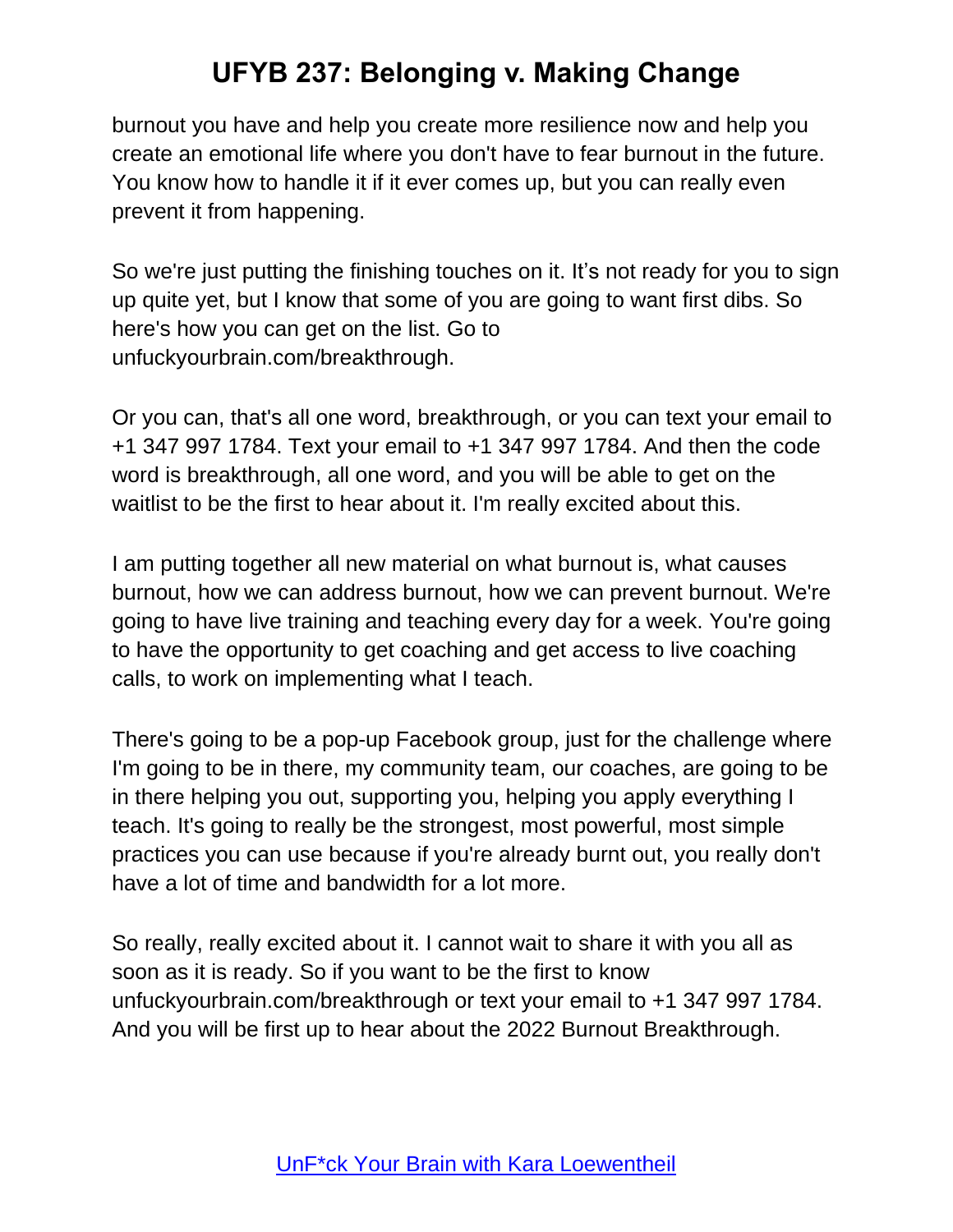burnout you have and help you create more resilience now and help you create an emotional life where you don't have to fear burnout in the future. You know how to handle it if it ever comes up, but you can really even prevent it from happening.

So we're just putting the finishing touches on it. It's not ready for you to sign up quite yet, but I know that some of you are going to want first dibs. So here's how you can get on the list. Go to unfuckyourbrain.com/breakthrough.

Or you can, that's all one word, breakthrough, or you can text your email to +1 347 997 1784. Text your email to +1 347 997 1784. And then the code word is breakthrough, all one word, and you will be able to get on the waitlist to be the first to hear about it. I'm really excited about this.

I am putting together all new material on what burnout is, what causes burnout, how we can address burnout, how we can prevent burnout. We're going to have live training and teaching every day for a week. You're going to have the opportunity to get coaching and get access to live coaching calls, to work on implementing what I teach.

There's going to be a pop-up Facebook group, just for the challenge where I'm going to be in there, my community team, our coaches, are going to be in there helping you out, supporting you, helping you apply everything I teach. It's going to really be the strongest, most powerful, most simple practices you can use because if you're already burnt out, you really don't have a lot of time and bandwidth for a lot more.

So really, really excited about it. I cannot wait to share it with you all as soon as it is ready. So if you want to be the first to know unfuckyourbrain.com/breakthrough or text your email to +1 347 997 1784. And you will be first up to hear about the 2022 Burnout Breakthrough.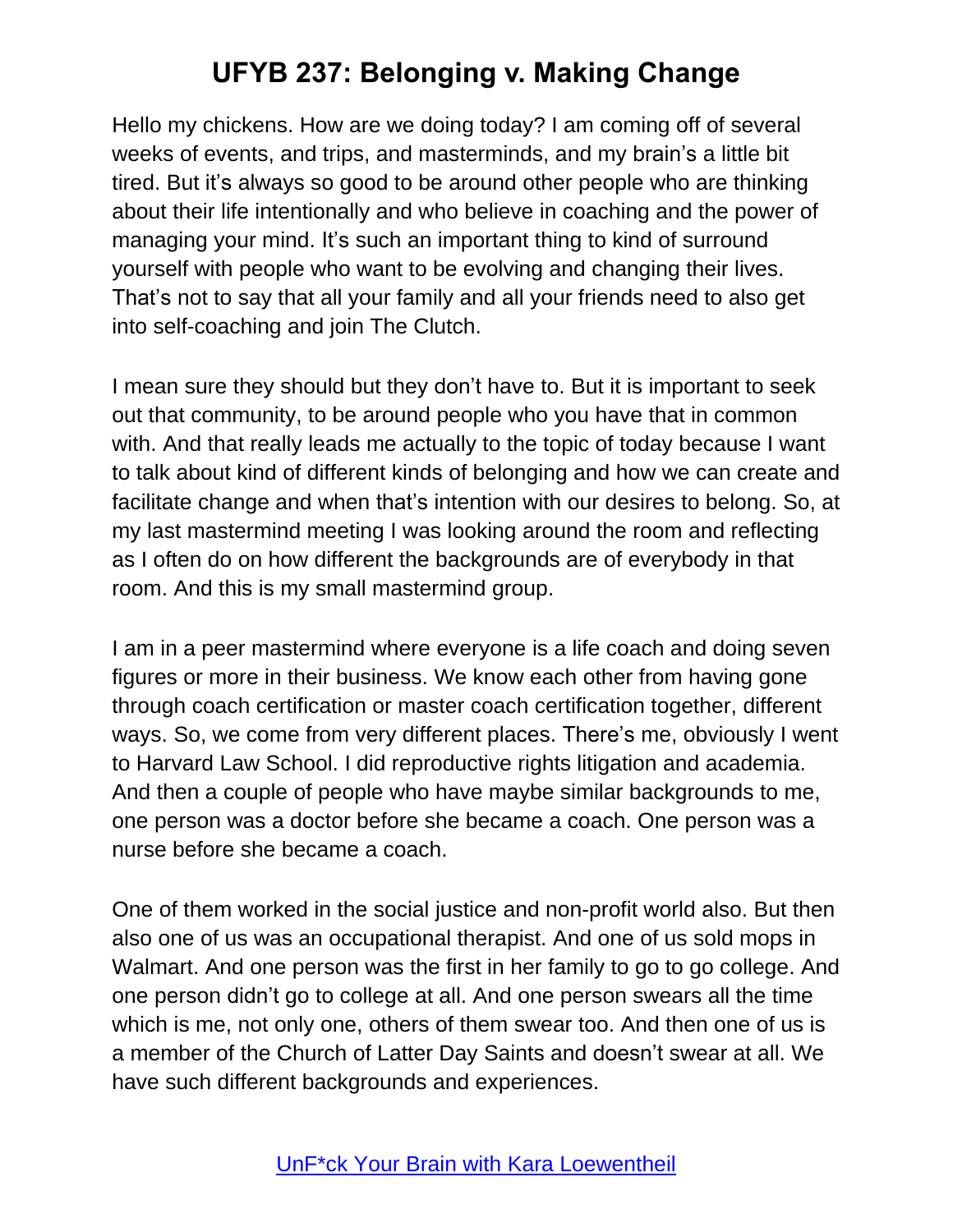Hello my chickens. How are we doing today? I am coming off of several weeks of events, and trips, and masterminds, and my brain's a little bit tired. But it's always so good to be around other people who are thinking about their life intentionally and who believe in coaching and the power of managing your mind. It's such an important thing to kind of surround yourself with people who want to be evolving and changing their lives. That's not to say that all your family and all your friends need to also get into self-coaching and join The Clutch.

I mean sure they should but they don't have to. But it is important to seek out that community, to be around people who you have that in common with. And that really leads me actually to the topic of today because I want to talk about kind of different kinds of belonging and how we can create and facilitate change and when that's intention with our desires to belong. So, at my last mastermind meeting I was looking around the room and reflecting as I often do on how different the backgrounds are of everybody in that room. And this is my small mastermind group.

I am in a peer mastermind where everyone is a life coach and doing seven figures or more in their business. We know each other from having gone through coach certification or master coach certification together, different ways. So, we come from very different places. There's me, obviously I went to Harvard Law School. I did reproductive rights litigation and academia. And then a couple of people who have maybe similar backgrounds to me, one person was a doctor before she became a coach. One person was a nurse before she became a coach.

One of them worked in the social justice and non-profit world also. But then also one of us was an occupational therapist. And one of us sold mops in Walmart. And one person was the first in her family to go to go college. And one person didn't go to college at all. And one person swears all the time which is me, not only one, others of them swear too. And then one of us is a member of the Church of Latter Day Saints and doesn't swear at all. We have such different backgrounds and experiences.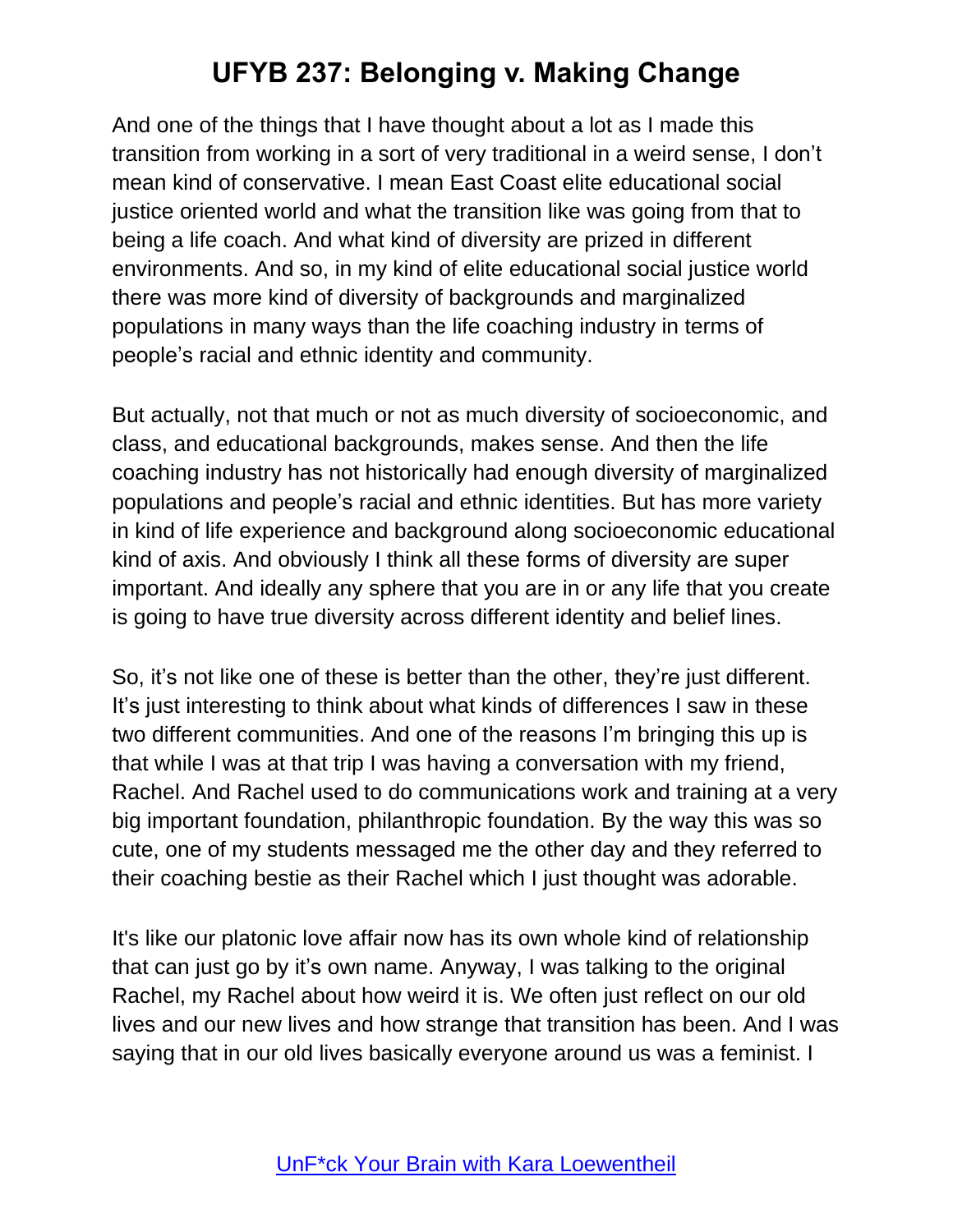And one of the things that I have thought about a lot as I made this transition from working in a sort of very traditional in a weird sense, I don't mean kind of conservative. I mean East Coast elite educational social justice oriented world and what the transition like was going from that to being a life coach. And what kind of diversity are prized in different environments. And so, in my kind of elite educational social justice world there was more kind of diversity of backgrounds and marginalized populations in many ways than the life coaching industry in terms of people's racial and ethnic identity and community.

But actually, not that much or not as much diversity of socioeconomic, and class, and educational backgrounds, makes sense. And then the life coaching industry has not historically had enough diversity of marginalized populations and people's racial and ethnic identities. But has more variety in kind of life experience and background along socioeconomic educational kind of axis. And obviously I think all these forms of diversity are super important. And ideally any sphere that you are in or any life that you create is going to have true diversity across different identity and belief lines.

So, it's not like one of these is better than the other, they're just different. It's just interesting to think about what kinds of differences I saw in these two different communities. And one of the reasons I'm bringing this up is that while I was at that trip I was having a conversation with my friend, Rachel. And Rachel used to do communications work and training at a very big important foundation, philanthropic foundation. By the way this was so cute, one of my students messaged me the other day and they referred to their coaching bestie as their Rachel which I just thought was adorable.

It's like our platonic love affair now has its own whole kind of relationship that can just go by it's own name. Anyway, I was talking to the original Rachel, my Rachel about how weird it is. We often just reflect on our old lives and our new lives and how strange that transition has been. And I was saying that in our old lives basically everyone around us was a feminist. I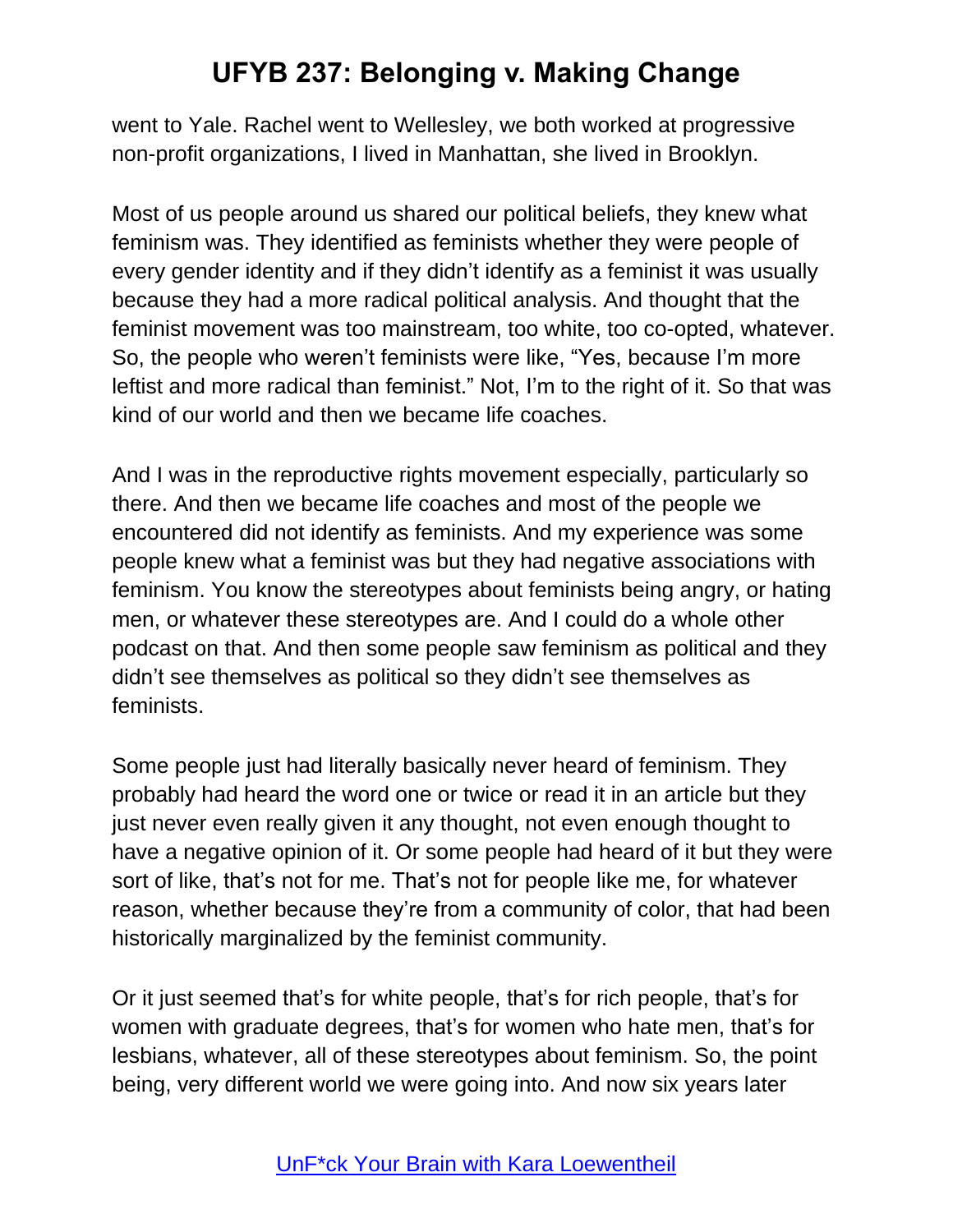went to Yale. Rachel went to Wellesley, we both worked at progressive non-profit organizations, I lived in Manhattan, she lived in Brooklyn.

Most of us people around us shared our political beliefs, they knew what feminism was. They identified as feminists whether they were people of every gender identity and if they didn't identify as a feminist it was usually because they had a more radical political analysis. And thought that the feminist movement was too mainstream, too white, too co-opted, whatever. So, the people who weren't feminists were like, "Yes, because I'm more leftist and more radical than feminist." Not, I'm to the right of it. So that was kind of our world and then we became life coaches.

And I was in the reproductive rights movement especially, particularly so there. And then we became life coaches and most of the people we encountered did not identify as feminists. And my experience was some people knew what a feminist was but they had negative associations with feminism. You know the stereotypes about feminists being angry, or hating men, or whatever these stereotypes are. And I could do a whole other podcast on that. And then some people saw feminism as political and they didn't see themselves as political so they didn't see themselves as feminists.

Some people just had literally basically never heard of feminism. They probably had heard the word one or twice or read it in an article but they just never even really given it any thought, not even enough thought to have a negative opinion of it. Or some people had heard of it but they were sort of like, that's not for me. That's not for people like me, for whatever reason, whether because they're from a community of color, that had been historically marginalized by the feminist community.

Or it just seemed that's for white people, that's for rich people, that's for women with graduate degrees, that's for women who hate men, that's for lesbians, whatever, all of these stereotypes about feminism. So, the point being, very different world we were going into. And now six years later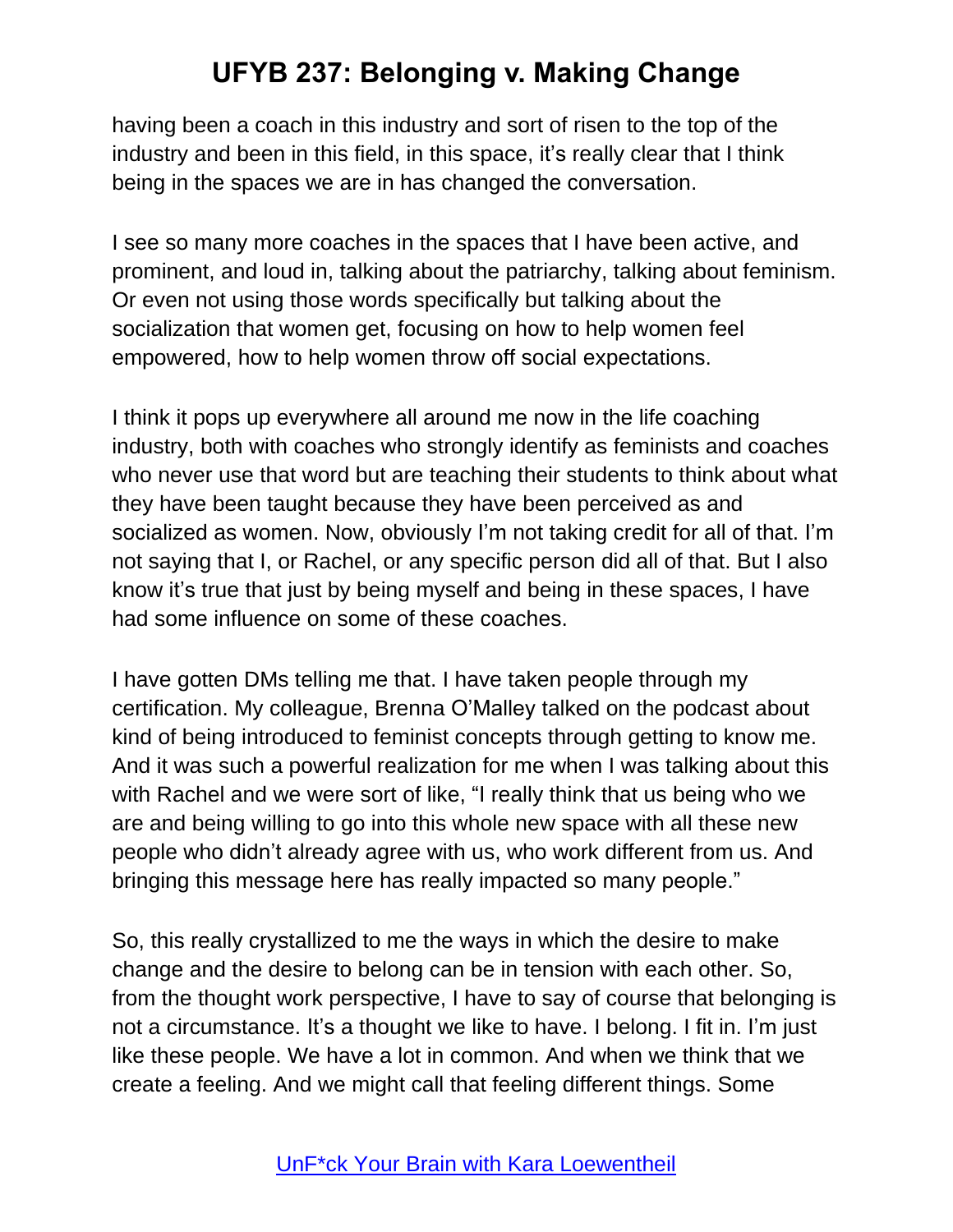having been a coach in this industry and sort of risen to the top of the industry and been in this field, in this space, it's really clear that I think being in the spaces we are in has changed the conversation.

I see so many more coaches in the spaces that I have been active, and prominent, and loud in, talking about the patriarchy, talking about feminism. Or even not using those words specifically but talking about the socialization that women get, focusing on how to help women feel empowered, how to help women throw off social expectations.

I think it pops up everywhere all around me now in the life coaching industry, both with coaches who strongly identify as feminists and coaches who never use that word but are teaching their students to think about what they have been taught because they have been perceived as and socialized as women. Now, obviously I'm not taking credit for all of that. I'm not saying that I, or Rachel, or any specific person did all of that. But I also know it's true that just by being myself and being in these spaces, I have had some influence on some of these coaches.

I have gotten DMs telling me that. I have taken people through my certification. My colleague, Brenna O'Malley talked on the podcast about kind of being introduced to feminist concepts through getting to know me. And it was such a powerful realization for me when I was talking about this with Rachel and we were sort of like, "I really think that us being who we are and being willing to go into this whole new space with all these new people who didn't already agree with us, who work different from us. And bringing this message here has really impacted so many people."

So, this really crystallized to me the ways in which the desire to make change and the desire to belong can be in tension with each other. So, from the thought work perspective, I have to say of course that belonging is not a circumstance. It's a thought we like to have. I belong. I fit in. I'm just like these people. We have a lot in common. And when we think that we create a feeling. And we might call that feeling different things. Some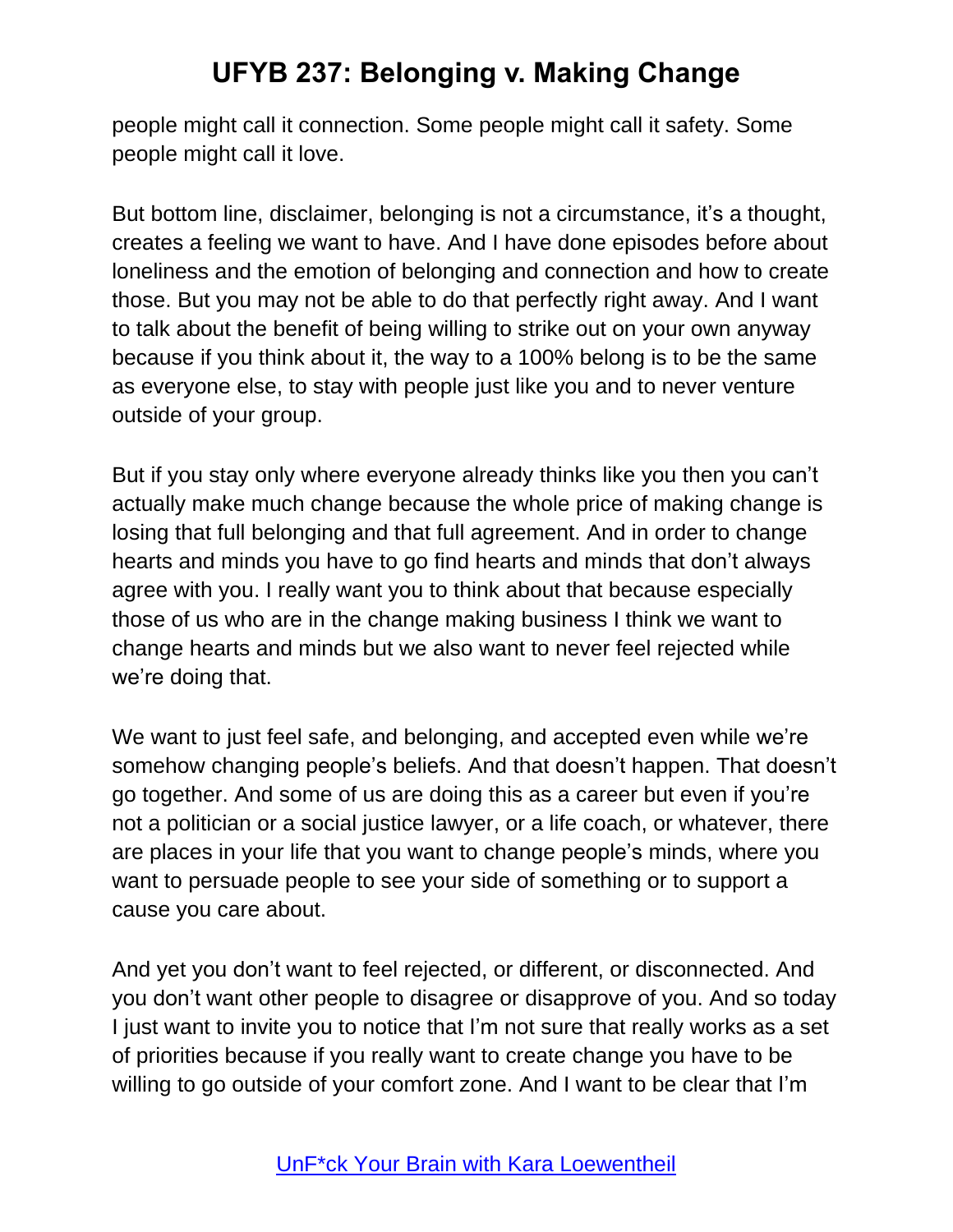people might call it connection. Some people might call it safety. Some people might call it love.

But bottom line, disclaimer, belonging is not a circumstance, it's a thought, creates a feeling we want to have. And I have done episodes before about loneliness and the emotion of belonging and connection and how to create those. But you may not be able to do that perfectly right away. And I want to talk about the benefit of being willing to strike out on your own anyway because if you think about it, the way to a 100% belong is to be the same as everyone else, to stay with people just like you and to never venture outside of your group.

But if you stay only where everyone already thinks like you then you can't actually make much change because the whole price of making change is losing that full belonging and that full agreement. And in order to change hearts and minds you have to go find hearts and minds that don't always agree with you. I really want you to think about that because especially those of us who are in the change making business I think we want to change hearts and minds but we also want to never feel rejected while we're doing that.

We want to just feel safe, and belonging, and accepted even while we're somehow changing people's beliefs. And that doesn't happen. That doesn't go together. And some of us are doing this as a career but even if you're not a politician or a social justice lawyer, or a life coach, or whatever, there are places in your life that you want to change people's minds, where you want to persuade people to see your side of something or to support a cause you care about.

And yet you don't want to feel rejected, or different, or disconnected. And you don't want other people to disagree or disapprove of you. And so today I just want to invite you to notice that I'm not sure that really works as a set of priorities because if you really want to create change you have to be willing to go outside of your comfort zone. And I want to be clear that I'm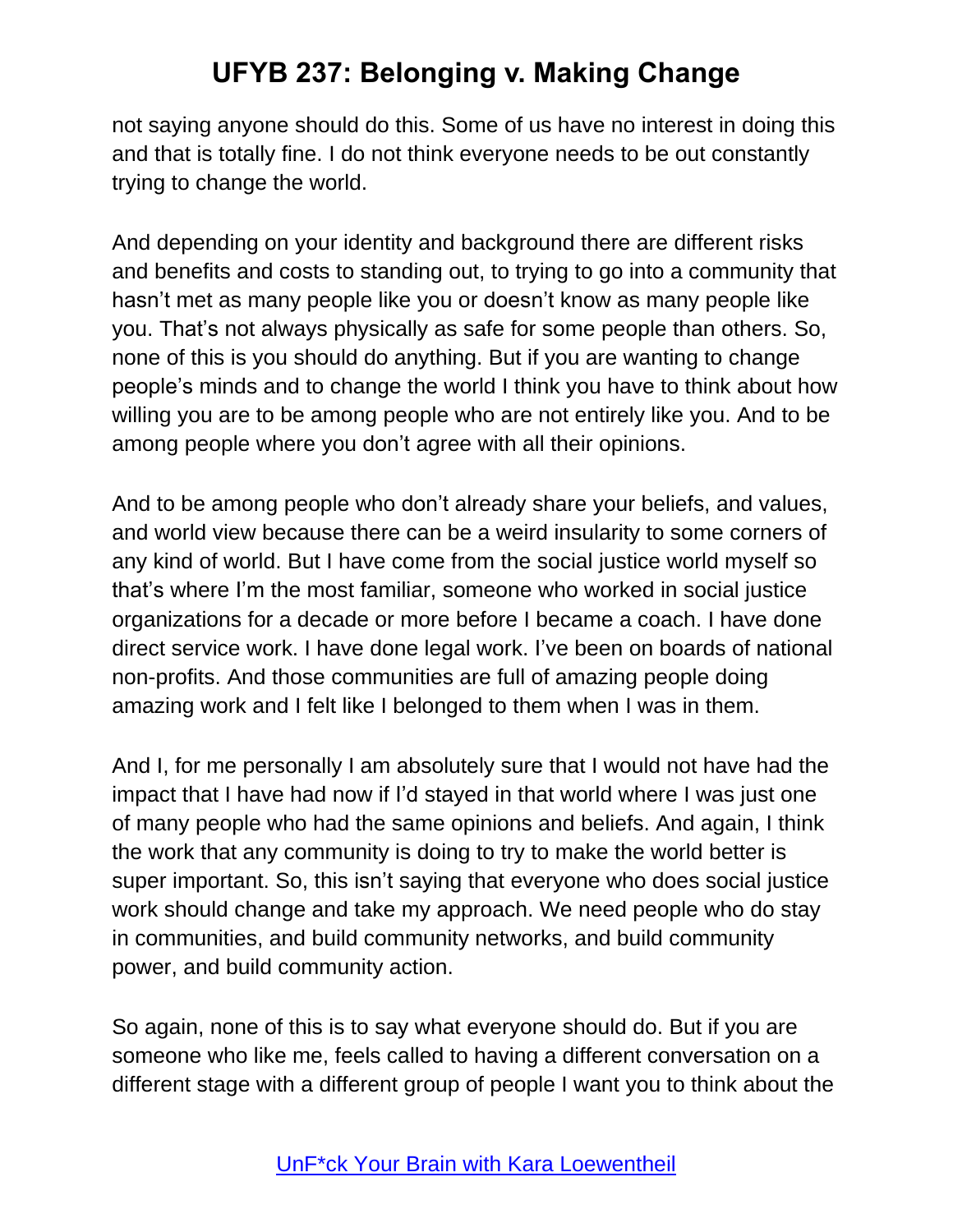not saying anyone should do this. Some of us have no interest in doing this and that is totally fine. I do not think everyone needs to be out constantly trying to change the world.

And depending on your identity and background there are different risks and benefits and costs to standing out, to trying to go into a community that hasn't met as many people like you or doesn't know as many people like you. That's not always physically as safe for some people than others. So, none of this is you should do anything. But if you are wanting to change people's minds and to change the world I think you have to think about how willing you are to be among people who are not entirely like you. And to be among people where you don't agree with all their opinions.

And to be among people who don't already share your beliefs, and values, and world view because there can be a weird insularity to some corners of any kind of world. But I have come from the social justice world myself so that's where I'm the most familiar, someone who worked in social justice organizations for a decade or more before I became a coach. I have done direct service work. I have done legal work. I've been on boards of national non-profits. And those communities are full of amazing people doing amazing work and I felt like I belonged to them when I was in them.

And I, for me personally I am absolutely sure that I would not have had the impact that I have had now if I'd stayed in that world where I was just one of many people who had the same opinions and beliefs. And again, I think the work that any community is doing to try to make the world better is super important. So, this isn't saying that everyone who does social justice work should change and take my approach. We need people who do stay in communities, and build community networks, and build community power, and build community action.

So again, none of this is to say what everyone should do. But if you are someone who like me, feels called to having a different conversation on a different stage with a different group of people I want you to think about the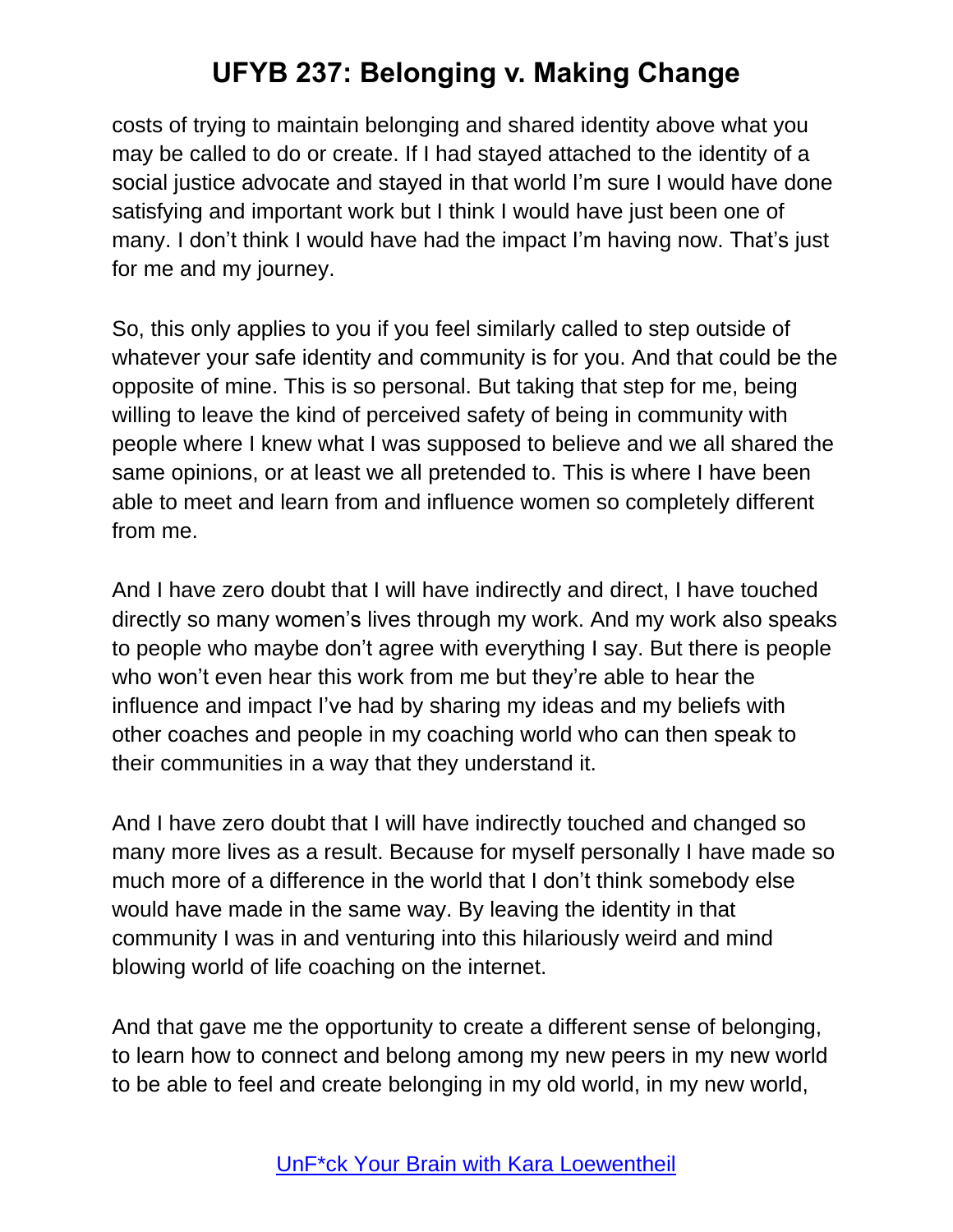costs of trying to maintain belonging and shared identity above what you may be called to do or create. If I had stayed attached to the identity of a social justice advocate and stayed in that world I'm sure I would have done satisfying and important work but I think I would have just been one of many. I don't think I would have had the impact I'm having now. That's just for me and my journey.

So, this only applies to you if you feel similarly called to step outside of whatever your safe identity and community is for you. And that could be the opposite of mine. This is so personal. But taking that step for me, being willing to leave the kind of perceived safety of being in community with people where I knew what I was supposed to believe and we all shared the same opinions, or at least we all pretended to. This is where I have been able to meet and learn from and influence women so completely different from me.

And I have zero doubt that I will have indirectly and direct, I have touched directly so many women's lives through my work. And my work also speaks to people who maybe don't agree with everything I say. But there is people who won't even hear this work from me but they're able to hear the influence and impact I've had by sharing my ideas and my beliefs with other coaches and people in my coaching world who can then speak to their communities in a way that they understand it.

And I have zero doubt that I will have indirectly touched and changed so many more lives as a result. Because for myself personally I have made so much more of a difference in the world that I don't think somebody else would have made in the same way. By leaving the identity in that community I was in and venturing into this hilariously weird and mind blowing world of life coaching on the internet.

And that gave me the opportunity to create a different sense of belonging, to learn how to connect and belong among my new peers in my new world to be able to feel and create belonging in my old world, in my new world,